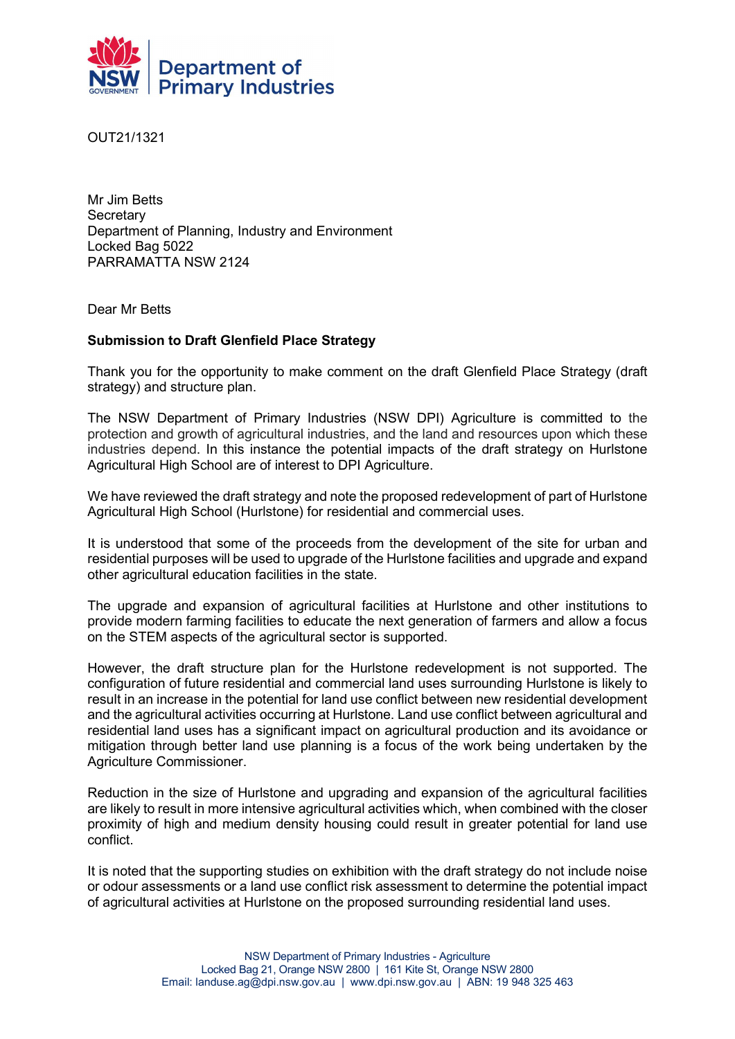

OUT21/1321

Mr Jim Betts **Secretary** Department of Planning, Industry and Environment Locked Bag 5022 PARRAMATTA NSW 2124

Dear Mr Betts

## Submission to Draft Glenfield Place Strategy

Thank you for the opportunity to make comment on the draft Glenfield Place Strategy (draft strategy) and structure plan.

The NSW Department of Primary Industries (NSW DPI) Agriculture is committed to the protection and growth of agricultural industries, and the land and resources upon which these industries depend. In this instance the potential impacts of the draft strategy on Hurlstone Agricultural High School are of interest to DPI Agriculture.

We have reviewed the draft strategy and note the proposed redevelopment of part of Hurlstone Agricultural High School (Hurlstone) for residential and commercial uses.

It is understood that some of the proceeds from the development of the site for urban and residential purposes will be used to upgrade of the Hurlstone facilities and upgrade and expand other agricultural education facilities in the state.

The upgrade and expansion of agricultural facilities at Hurlstone and other institutions to provide modern farming facilities to educate the next generation of farmers and allow a focus on the STEM aspects of the agricultural sector is supported.

However, the draft structure plan for the Hurlstone redevelopment is not supported. The configuration of future residential and commercial land uses surrounding Hurlstone is likely to result in an increase in the potential for land use conflict between new residential development and the agricultural activities occurring at Hurlstone. Land use conflict between agricultural and residential land uses has a significant impact on agricultural production and its avoidance or mitigation through better land use planning is a focus of the work being undertaken by the Agriculture Commissioner.

Reduction in the size of Hurlstone and upgrading and expansion of the agricultural facilities are likely to result in more intensive agricultural activities which, when combined with the closer proximity of high and medium density housing could result in greater potential for land use conflict.

It is noted that the supporting studies on exhibition with the draft strategy do not include noise or odour assessments or a land use conflict risk assessment to determine the potential impact of agricultural activities at Hurlstone on the proposed surrounding residential land uses.